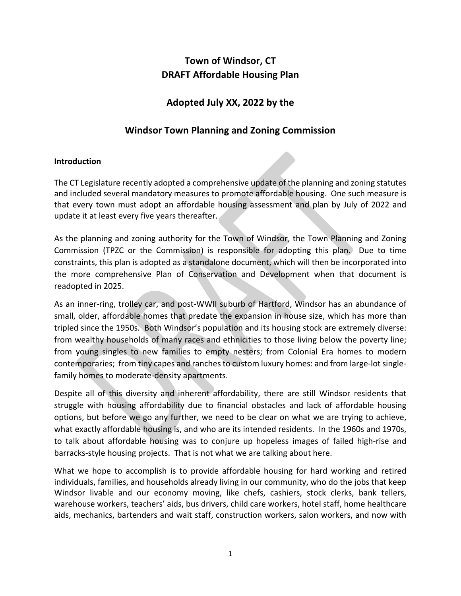# **Town of Windsor, CT DRAFT Affordable Housing Plan**

## **Adopted July XX, 2022 by the**

## **Windsor Town Planning and Zoning Commission**

## **Introduction**

The CT Legislature recently adopted a comprehensive update of the planning and zoning statutes and included several mandatory measures to promote affordable housing. One such measure is that every town must adopt an affordable housing assessment and plan by July of 2022 and update it at least every five years thereafter.

As the planning and zoning authority for the Town of Windsor, the Town Planning and Zoning Commission (TPZC or the Commission) is responsible for adopting this plan. Due to time constraints, this plan is adopted as a standalone document, which will then be incorporated into the more comprehensive Plan of Conservation and Development when that document is readopted in 2025.

As an inner‐ring, trolley car, and post‐WWII suburb of Hartford, Windsor has an abundance of small, older, affordable homes that predate the expansion in house size, which has more than tripled since the 1950s. Both Windsor's population and its housing stock are extremely diverse: from wealthy households of many races and ethnicities to those living below the poverty line; from young singles to new families to empty nesters; from Colonial Era homes to modern contemporaries; from tiny capes and ranches to custom luxury homes: and from large‐lot single‐ family homes to moderate‐density apartments.

Despite all of this diversity and inherent affordability, there are still Windsor residents that struggle with housing affordability due to financial obstacles and lack of affordable housing options, but before we go any further, we need to be clear on what we are trying to achieve, what exactly affordable housing is, and who are its intended residents. In the 1960s and 1970s, to talk about affordable housing was to conjure up hopeless images of failed high‐rise and barracks‐style housing projects. That is not what we are talking about here.

What we hope to accomplish is to provide affordable housing for hard working and retired individuals, families, and households already living in our community, who do the jobs that keep Windsor livable and our economy moving, like chefs, cashiers, stock clerks, bank tellers, warehouse workers, teachers' aids, bus drivers, child care workers, hotel staff, home healthcare aids, mechanics, bartenders and wait staff, construction workers, salon workers, and now with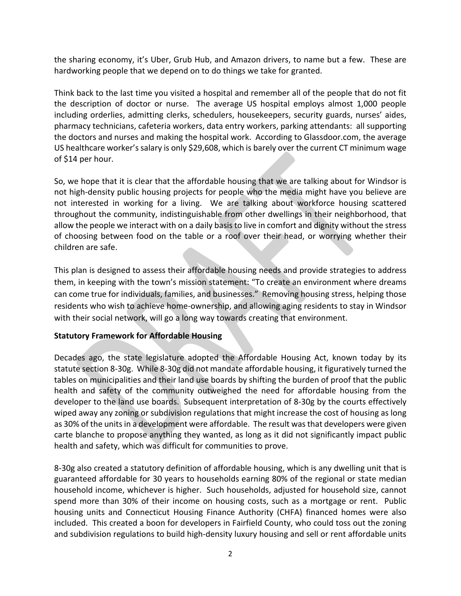the sharing economy, it's Uber, Grub Hub, and Amazon drivers, to name but a few. These are hardworking people that we depend on to do things we take for granted.

Think back to the last time you visited a hospital and remember all of the people that do not fit the description of doctor or nurse. The average US hospital employs almost 1,000 people including orderlies, admitting clerks, schedulers, housekeepers, security guards, nurses' aides, pharmacy technicians, cafeteria workers, data entry workers, parking attendants: all supporting the doctors and nurses and making the hospital work. According to Glassdoor.com, the average US healthcare worker's salary is only \$29,608, which is barely over the current CT minimum wage of \$14 per hour.

So, we hope that it is clear that the affordable housing that we are talking about for Windsor is not high-density public housing projects for people who the media might have you believe are not interested in working for a living. We are talking about workforce housing scattered throughout the community, indistinguishable from other dwellings in their neighborhood, that allow the people we interact with on a daily basis to live in comfort and dignity without the stress of choosing between food on the table or a roof over their head, or worrying whether their children are safe.

This plan is designed to assess their affordable housing needs and provide strategies to address them, in keeping with the town's mission statement: "To create an environment where dreams can come true for individuals, families, and businesses." Removing housing stress, helping those residents who wish to achieve home‐ownership, and allowing aging residents to stay in Windsor with their social network, will go a long way towards creating that environment.

## **Statutory Framework for Affordable Housing**

Decades ago, the state legislature adopted the Affordable Housing Act, known today by its statute section 8‐30g. While 8‐30g did not mandate affordable housing, it figuratively turned the tables on municipalities and their land use boards by shifting the burden of proof that the public health and safety of the community outweighed the need for affordable housing from the developer to the land use boards. Subsequent interpretation of 8‐30g by the courts effectively wiped away any zoning or subdivision regulations that might increase the cost of housing as long as 30% of the units in a development were affordable. The result was that developers were given carte blanche to propose anything they wanted, as long as it did not significantly impact public health and safety, which was difficult for communities to prove.

8-30g also created a statutory definition of affordable housing, which is any dwelling unit that is guaranteed affordable for 30 years to households earning 80% of the regional or state median household income, whichever is higher. Such households, adjusted for household size, cannot spend more than 30% of their income on housing costs, such as a mortgage or rent. Public housing units and Connecticut Housing Finance Authority (CHFA) financed homes were also included. This created a boon for developers in Fairfield County, who could toss out the zoning and subdivision regulations to build high-density luxury housing and sell or rent affordable units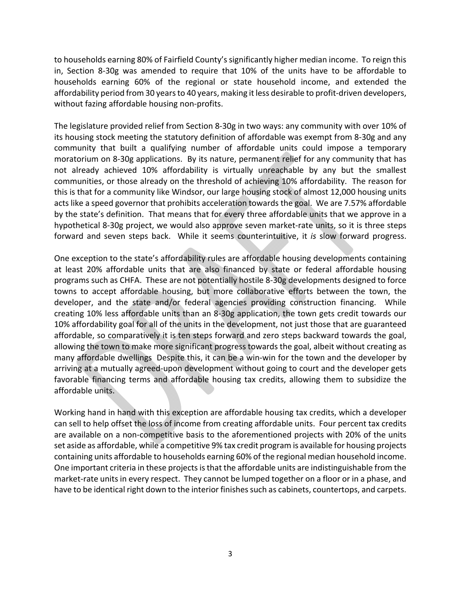to households earning 80% of Fairfield County's significantly higher median income. To reign this in, Section 8-30g was amended to require that 10% of the units have to be affordable to households earning 60% of the regional or state household income, and extended the affordability period from 30 years to 40 years, making it less desirable to profit‐driven developers, without fazing affordable housing non-profits.

The legislature provided relief from Section 8‐30g in two ways: any community with over 10% of its housing stock meeting the statutory definition of affordable was exempt from 8‐30g and any community that built a qualifying number of affordable units could impose a temporary moratorium on 8‐30g applications. By its nature, permanent relief for any community that has not already achieved 10% affordability is virtually unreachable by any but the smallest communities, or those already on the threshold of achieving 10% affordability. The reason for this is that for a community like Windsor, our large housing stock of almost 12,000 housing units acts like a speed governor that prohibits acceleration towards the goal. We are 7.57% affordable by the state's definition. That means that for every three affordable units that we approve in a hypothetical 8-30g project, we would also approve seven market-rate units, so it is three steps forward and seven steps back. While it seems counterintuitive, it *is* slow forward progress.

One exception to the state's affordability rules are affordable housing developments containing at least 20% affordable units that are also financed by state or federal affordable housing programs such as CHFA. These are not potentially hostile 8‐30g developments designed to force towns to accept affordable housing, but more collaborative efforts between the town, the developer, and the state and/or federal agencies providing construction financing. While creating 10% less affordable units than an 8‐30g application, the town gets credit towards our 10% affordability goal for all of the units in the development, not just those that are guaranteed affordable, so comparatively it is ten steps forward and zero steps backward towards the goal, allowing the town to make more significant progress towards the goal, albeit without creating as many affordable dwellings Despite this, it can be a win-win for the town and the developer by arriving at a mutually agreed‐upon development without going to court and the developer gets favorable financing terms and affordable housing tax credits, allowing them to subsidize the affordable units.

Working hand in hand with this exception are affordable housing tax credits, which a developer can sell to help offset the loss of income from creating affordable units. Four percent tax credits are available on a non‐competitive basis to the aforementioned projects with 20% of the units set aside as affordable, while a competitive 9% tax credit program is available for housing projects containing units affordable to households earning 60% of the regional median household income. One important criteria in these projects is that the affordable units are indistinguishable from the market-rate units in every respect. They cannot be lumped together on a floor or in a phase, and have to be identical right down to the interior finishes such as cabinets, countertops, and carpets.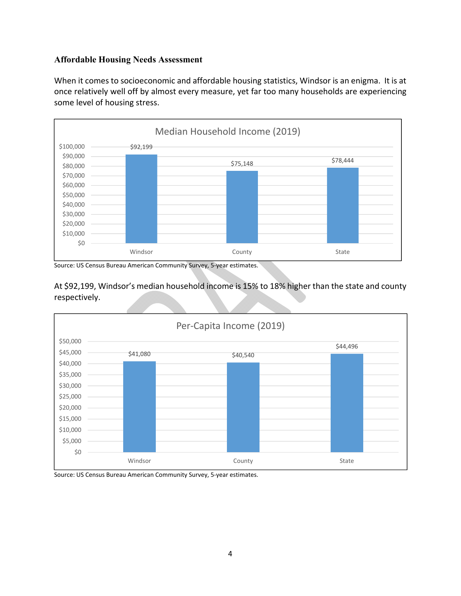## **Affordable Housing Needs Assessment**

When it comes to socioeconomic and affordable housing statistics, Windsor is an enigma. It is at once relatively well off by almost every measure, yet far too many households are experiencing some level of housing stress.



Source: US Census Bureau American Community Survey, 5‐year estimates.

At \$92,199, Windsor's median household income is 15% to 18% higher than the state and county respectively.



Source: US Census Bureau American Community Survey, 5‐year estimates.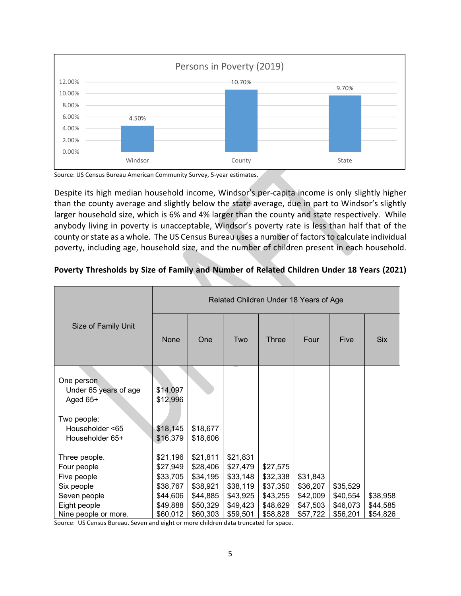

Source: US Census Bureau American Community Survey, 5‐year estimates.

Despite its high median household income, Windsor's per‐capita income is only slightly higher than the county average and slightly below the state average, due in part to Windsor's slightly larger household size, which is 6% and 4% larger than the county and state respectively. While anybody living in poverty is unacceptable, Windsor's poverty rate is less than half that of the county or state as a whole. The US Census Bureau uses a number of factors to calculate individual poverty, including age, household size, and the number of children present in each household.

|                                                                           | Related Children Under 18 Years of Age                   |                                                          |                                                          |                                              |                                  |                      |                      |  |
|---------------------------------------------------------------------------|----------------------------------------------------------|----------------------------------------------------------|----------------------------------------------------------|----------------------------------------------|----------------------------------|----------------------|----------------------|--|
| Size of Family Unit                                                       | None                                                     | <b>One</b>                                               | Two                                                      | <b>Three</b>                                 | Four                             | <b>Five</b>          | <b>Six</b>           |  |
| One person<br>Under 65 years of age<br>Aged 65+                           | \$14,097<br>\$12,996                                     |                                                          |                                                          |                                              |                                  |                      |                      |  |
| Two people:<br>Householder <65<br>Householder 65+                         | \$18,145<br>\$16,379                                     | \$18,677<br>\$18,606                                     |                                                          |                                              |                                  |                      |                      |  |
| Three people.<br>Four people<br>Five people<br>Six people<br>Seven people | \$21,196<br>\$27,949<br>\$33,705<br>\$38,767<br>\$44,606 | \$21,811<br>\$28,406<br>\$34,195<br>\$38,921<br>\$44,885 | \$21,831<br>\$27,479<br>\$33,148<br>\$38,119<br>\$43,925 | \$27,575<br>\$32,338<br>\$37,350<br>\$43,255 | \$31,843<br>\$36,207<br>\$42,009 | \$35,529<br>\$40,554 | \$38,958             |  |
| Eight people<br>Nine people or more.                                      | \$49,888<br>\$60,012                                     | \$50,329<br>\$60,303                                     | \$49,423<br>\$59,501                                     | \$48,629<br>\$58,828                         | \$47,503<br>\$57,722             | \$46,073<br>\$56,201 | \$44,585<br>\$54,826 |  |

## **Poverty Thresholds by Size of Family and Number of Related Children Under 18 Years (2021)**

Source: US Census Bureau. Seven and eight or more children data truncated for space.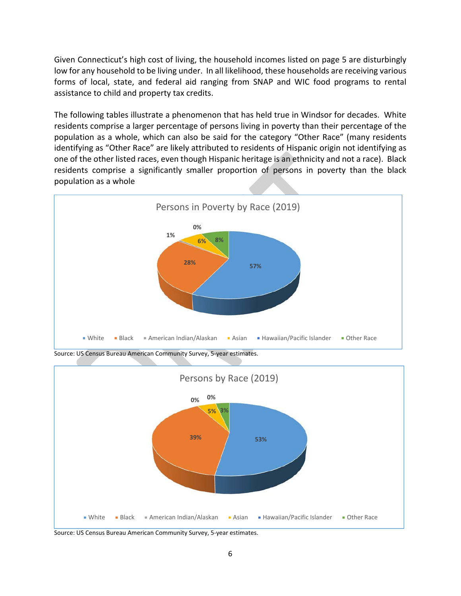Given Connecticut's high cost of living, the household incomes listed on page 5 are disturbingly low for any household to be living under. In all likelihood, these households are receiving various forms of local, state, and federal aid ranging from SNAP and WIC food programs to rental assistance to child and property tax credits.

The following tables illustrate a phenomenon that has held true in Windsor for decades. White residents comprise a larger percentage of persons living in poverty than their percentage of the population as a whole, which can also be said for the category "Other Race" (many residents identifying as "Other Race" are likely attributed to residents of Hispanic origin not identifying as one of the other listed races, even though Hispanic heritage is an ethnicity and not a race). Black residents comprise a significantly smaller proportion of persons in poverty than the black population as a whole



Source: US Census Bureau American Community Survey, 5‐year estimates.



Source: US Census Bureau American Community Survey, 5‐year estimates.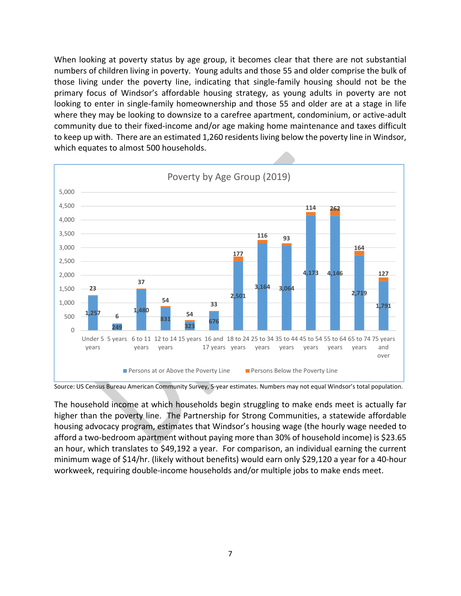When looking at poverty status by age group, it becomes clear that there are not substantial numbers of children living in poverty. Young adults and those 55 and older comprise the bulk of those living under the poverty line, indicating that single‐family housing should not be the primary focus of Windsor's affordable housing strategy, as young adults in poverty are not looking to enter in single‐family homeownership and those 55 and older are at a stage in life where they may be looking to downsize to a carefree apartment, condominium, or active-adult community due to their fixed‐income and/or age making home maintenance and taxes difficult to keep up with. There are an estimated 1,260 residents living below the poverty line in Windsor, which equates to almost 500 households.



Source: US Census Bureau American Community Survey, 5‐year estimates. Numbers may not equal Windsor's total population.

The household income at which households begin struggling to make ends meet is actually far higher than the poverty line. The Partnership for Strong Communities, a statewide affordable housing advocacy program, estimates that Windsor's housing wage (the hourly wage needed to afford a two‐bedroom apartment without paying more than 30% of household income) is \$23.65 an hour, which translates to \$49,192 a year. For comparison, an individual earning the current minimum wage of \$14/hr. (likely without benefits) would earn only \$29,120 a year for a 40‐hour workweek, requiring double‐income households and/or multiple jobs to make ends meet.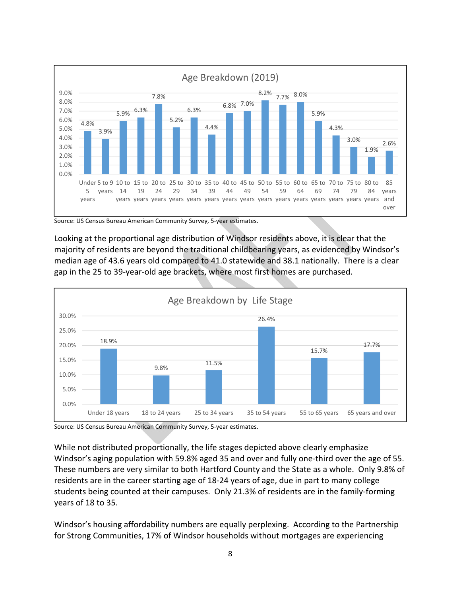

Source: US Census Bureau American Community Survey, 5‐year estimates.

Looking at the proportional age distribution of Windsor residents above, it is clear that the majority of residents are beyond the traditional childbearing years, as evidenced by Windsor's median age of 43.6 years old compared to 41.0 statewide and 38.1 nationally. There is a clear gap in the 25 to 39‐year‐old age brackets, where most first homes are purchased.



Source: US Census Bureau American Community Survey, 5‐year estimates.

While not distributed proportionally, the life stages depicted above clearly emphasize Windsor's aging population with 59.8% aged 35 and over and fully one-third over the age of 55. These numbers are very similar to both Hartford County and the State as a whole. Only 9.8% of residents are in the career starting age of 18‐24 years of age, due in part to many college students being counted at their campuses. Only 21.3% of residents are in the family‐forming years of 18 to 35.

Windsor's housing affordability numbers are equally perplexing. According to the Partnership for Strong Communities, 17% of Windsor households without mortgages are experiencing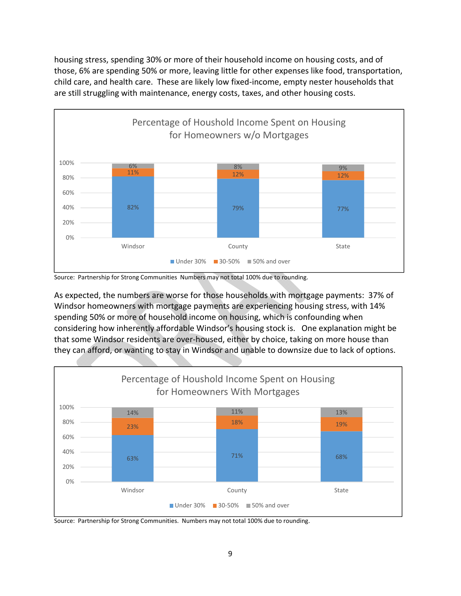housing stress, spending 30% or more of their household income on housing costs, and of those, 6% are spending 50% or more, leaving little for other expenses like food, transportation, child care, and health care. These are likely low fixed‐income, empty nester households that are still struggling with maintenance, energy costs, taxes, and other housing costs.



Source: Partnership for Strong Communities Numbers may not total 100% due to rounding.

As expected, the numbers are worse for those households with mortgage payments: 37% of Windsor homeowners with mortgage payments are experiencing housing stress, with 14% spending 50% or more of household income on housing, which is confounding when considering how inherently affordable Windsor's housing stock is. One explanation might be that some Windsor residents are over‐housed, either by choice, taking on more house than they can afford, or wanting to stay in Windsor and unable to downsize due to lack of options.



Source: Partnership for Strong Communities. Numbers may not total 100% due to rounding.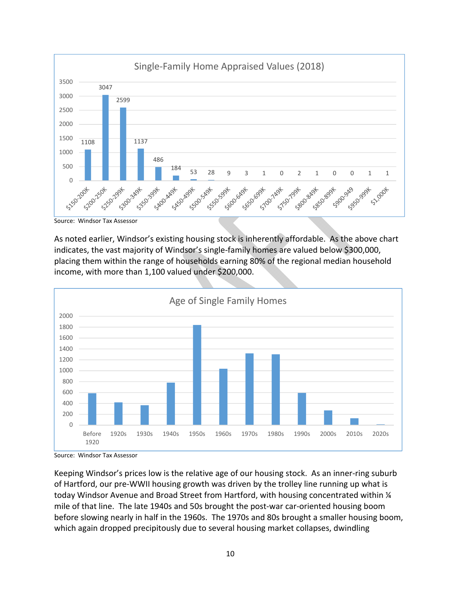

Source: Windsor Tax Assessor

As noted earlier, Windsor's existing housing stock is inherently affordable. As the above chart indicates, the vast majority of Windsor's single‐family homes are valued below \$300,000, placing them within the range of households earning 80% of the regional median household income, with more than 1,100 valued under \$200,000.



Source: Windsor Tax Assessor

Keeping Windsor's prices low is the relative age of our housing stock. As an inner‐ring suburb of Hartford, our pre‐WWII housing growth was driven by the trolley line running up what is today Windsor Avenue and Broad Street from Hartford, with housing concentrated within  $\frac{1}{4}$ mile of that line. The late 1940s and 50s brought the post-war car-oriented housing boom before slowing nearly in half in the 1960s. The 1970s and 80s brought a smaller housing boom, which again dropped precipitously due to several housing market collapses, dwindling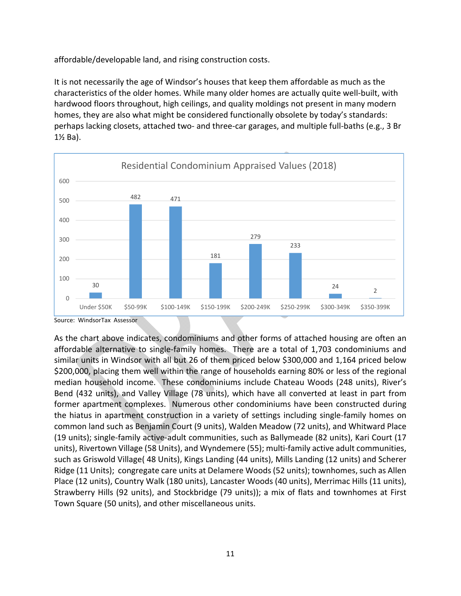affordable/developable land, and rising construction costs.

It is not necessarily the age of Windsor's houses that keep them affordable as much as the characteristics of the older homes. While many older homes are actually quite well‐built, with hardwood floors throughout, high ceilings, and quality moldings not present in many modern homes, they are also what might be considered functionally obsolete by today's standards: perhaps lacking closets, attached two- and three-car garages, and multiple full-baths (e.g., 3 Br 1½ Ba).



Source: WindsorTax Assessor

As the chart above indicates, condominiums and other forms of attached housing are often an affordable alternative to single‐family homes. There are a total of 1,703 condominiums and similar units in Windsor with all but 26 of them priced below \$300,000 and 1,164 priced below \$200,000, placing them well within the range of households earning 80% or less of the regional median household income. These condominiums include Chateau Woods (248 units), River's Bend (432 units), and Valley Village (78 units), which have all converted at least in part from former apartment complexes. Numerous other condominiums have been constructed during the hiatus in apartment construction in a variety of settings including single‐family homes on common land such as Benjamin Court (9 units), Walden Meadow (72 units), and Whitward Place (19 units); single‐family active‐adult communities, such as Ballymeade (82 units), Kari Court (17 units), Rivertown Village (58 Units), and Wyndemere (55); multi‐family active adult communities, such as Griswold Village( 48 Units), Kings Landing (44 units), Mills Landing (12 units) and Scherer Ridge (11 Units); congregate care units at Delamere Woods (52 units); townhomes, such as Allen Place (12 units), Country Walk (180 units), Lancaster Woods (40 units), Merrimac Hills (11 units), Strawberry Hills (92 units), and Stockbridge (79 units)); a mix of flats and townhomes at First Town Square (50 units), and other miscellaneous units.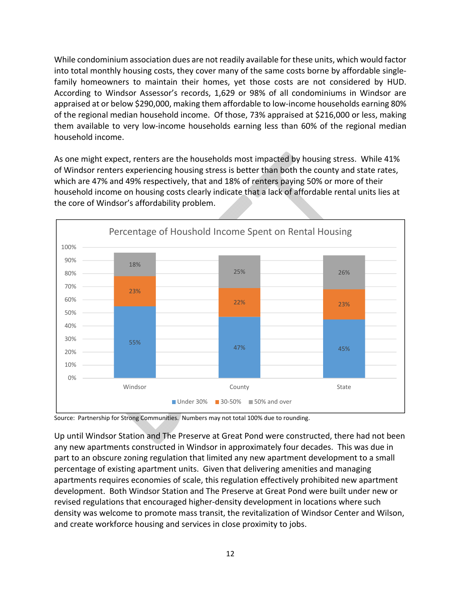While condominium association dues are not readily available for these units, which would factor into total monthly housing costs, they cover many of the same costs borne by affordable single‐ family homeowners to maintain their homes, yet those costs are not considered by HUD. According to Windsor Assessor's records, 1,629 or 98% of all condominiums in Windsor are appraised at or below \$290,000, making them affordable to low‐income households earning 80% of the regional median household income. Of those, 73% appraised at \$216,000 or less, making them available to very low-income households earning less than 60% of the regional median household income.

As one might expect, renters are the households most impacted by housing stress. While 41% of Windsor renters experiencing housing stress is better than both the county and state rates, which are 47% and 49% respectively, that and 18% of renters paying 50% or more of their household income on housing costs clearly indicate that a lack of affordable rental units lies at the core of Windsor's affordability problem.



Source: Partnership for Strong Communities. Numbers may not total 100% due to rounding.

Up until Windsor Station and The Preserve at Great Pond were constructed, there had not been any new apartments constructed in Windsor in approximately four decades. This was due in part to an obscure zoning regulation that limited any new apartment development to a small percentage of existing apartment units. Given that delivering amenities and managing apartments requires economies of scale, this regulation effectively prohibited new apartment development. Both Windsor Station and The Preserve at Great Pond were built under new or revised regulations that encouraged higher‐density development in locations where such density was welcome to promote mass transit, the revitalization of Windsor Center and Wilson, and create workforce housing and services in close proximity to jobs.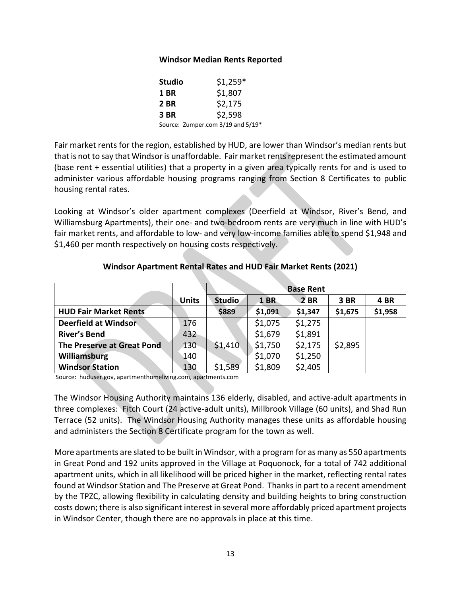#### **Windsor Median Rents Reported**

| <b>Studio</b> | $$1,259*$                         |
|---------------|-----------------------------------|
| <b>1 BR</b>   | \$1,807                           |
| <b>2 BR</b>   | \$2,175                           |
| <b>3 BR</b>   | \$2,598                           |
|               | Source: Zumper.com 3/19 and 5/19* |

Fair market rents for the region, established by HUD, are lower than Windsor's median rents but that is not to say that Windsor is unaffordable. Fair market rents represent the estimated amount (base rent + essential utilities) that a property in a given area typically rents for and is used to administer various affordable housing programs ranging from Section 8 Certificates to public housing rental rates.

Looking at Windsor's older apartment complexes (Deerfield at Windsor, River's Bend, and Williamsburg Apartments), their one‐ and two‐bedroom rents are very much in line with HUD's fair market rents, and affordable to low- and very low-income families able to spend \$1,948 and \$1,460 per month respectively on housing costs respectively.

|                              |              | <b>Base Rent</b> |             |             |         |         |
|------------------------------|--------------|------------------|-------------|-------------|---------|---------|
|                              | <b>Units</b> | <b>Studio</b>    | <b>1 BR</b> | <b>2 BR</b> | 3 BR    | 4 BR    |
| <b>HUD Fair Market Rents</b> |              | \$889            | \$1,091     | \$1,347     | \$1,675 | \$1,958 |
| Deerfield at Windsor         | 176          |                  | \$1,075     | \$1,275     |         |         |
| <b>River's Bend</b>          | 432          |                  | \$1,679     | \$1,891     |         |         |
| The Preserve at Great Pond   | 130          | \$1,410          | \$1,750     | \$2,175     | \$2,895 |         |
| Williamsburg                 | 140          |                  | \$1,070     | \$1,250     |         |         |
| <b>Windsor Station</b>       | 130          | \$1,589          | \$1,809     | \$2,405     |         |         |

## **Windsor Apartment Rental Rates and HUD Fair Market Rents (2021)**

Source: huduser.gov, apartmenthomeliving.com, apartments.com

The Windsor Housing Authority maintains 136 elderly, disabled, and active-adult apartments in three complexes: Fitch Court (24 active‐adult units), Millbrook Village (60 units), and Shad Run Terrace (52 units). The Windsor Housing Authority manages these units as affordable housing and administers the Section 8 Certificate program for the town as well.

More apartments are slated to be built in Windsor, with a program for as many as 550 apartments in Great Pond and 192 units approved in the Village at Poquonock, for a total of 742 additional apartment units, which in all likelihood will be priced higher in the market, reflecting rental rates found at Windsor Station and The Preserve at Great Pond. Thanks in part to a recent amendment by the TPZC, allowing flexibility in calculating density and building heights to bring construction costs down; there is also significant interest in several more affordably priced apartment projects in Windsor Center, though there are no approvals in place at this time.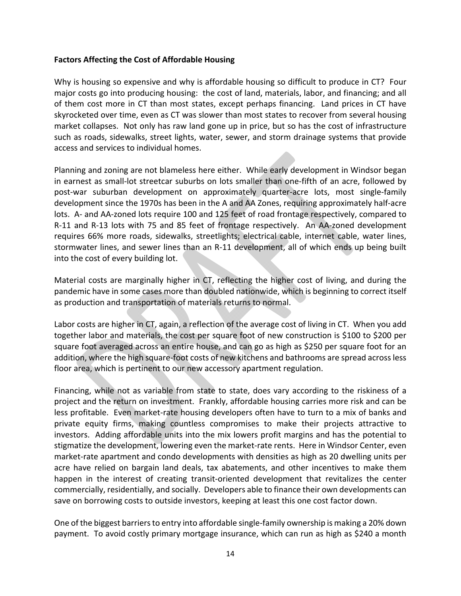### **Factors Affecting the Cost of Affordable Housing**

Why is housing so expensive and why is affordable housing so difficult to produce in CT? Four major costs go into producing housing: the cost of land, materials, labor, and financing; and all of them cost more in CT than most states, except perhaps financing. Land prices in CT have skyrocketed over time, even as CT was slower than most states to recover from several housing market collapses. Not only has raw land gone up in price, but so has the cost of infrastructure such as roads, sidewalks, street lights, water, sewer, and storm drainage systems that provide access and services to individual homes.

Planning and zoning are not blameless here either. While early development in Windsor began in earnest as small-lot streetcar suburbs on lots smaller than one-fifth of an acre, followed by post‐war suburban development on approximately quarter‐acre lots, most single‐family development since the 1970s has been in the A and AA Zones, requiring approximately half‐acre lots. A‐ and AA‐zoned lots require 100 and 125 feet of road frontage respectively, compared to R-11 and R-13 lots with 75 and 85 feet of frontage respectively. An AA-zoned development requires 66% more roads, sidewalks, streetlights; electrical cable, internet cable, water lines, stormwater lines, and sewer lines than an R‐11 development, all of which ends up being built into the cost of every building lot.

Material costs are marginally higher in CT, reflecting the higher cost of living, and during the pandemic have in some cases more than doubled nationwide, which is beginning to correct itself as production and transportation of materials returns to normal.

Labor costs are higher in CT, again, a reflection of the average cost of living in CT. When you add together labor and materials, the cost per square foot of new construction is \$100 to \$200 per square foot averaged across an entire house, and can go as high as \$250 per square foot for an addition, where the high square‐foot costs of new kitchens and bathrooms are spread across less floor area, which is pertinent to our new accessory apartment regulation.

Financing, while not as variable from state to state, does vary according to the riskiness of a project and the return on investment. Frankly, affordable housing carries more risk and can be less profitable. Even market-rate housing developers often have to turn to a mix of banks and private equity firms, making countless compromises to make their projects attractive to investors. Adding affordable units into the mix lowers profit margins and has the potential to stigmatize the development, lowering even the market‐rate rents. Here in Windsor Center, even market-rate apartment and condo developments with densities as high as 20 dwelling units per acre have relied on bargain land deals, tax abatements, and other incentives to make them happen in the interest of creating transit-oriented development that revitalizes the center commercially, residentially, and socially. Developers able to finance their own developments can save on borrowing costs to outside investors, keeping at least this one cost factor down.

One of the biggest barriers to entry into affordable single‐family ownership is making a 20% down payment. To avoid costly primary mortgage insurance, which can run as high as \$240 a month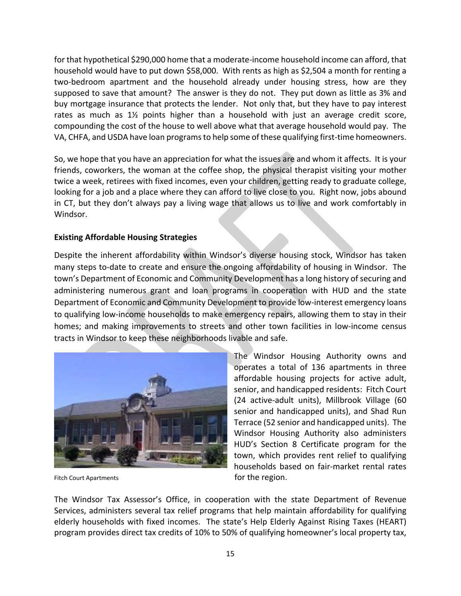for that hypothetical \$290,000 home that a moderate-income household income can afford, that household would have to put down \$58,000. With rents as high as \$2,504 a month for renting a two-bedroom apartment and the household already under housing stress, how are they supposed to save that amount? The answer is they do not. They put down as little as 3% and buy mortgage insurance that protects the lender. Not only that, but they have to pay interest rates as much as  $1\frac{1}{2}$  points higher than a household with just an average credit score, compounding the cost of the house to well above what that average household would pay. The VA, CHFA, and USDA have loan programs to help some of these qualifying first‐time homeowners.

So, we hope that you have an appreciation for what the issues are and whom it affects. It is your friends, coworkers, the woman at the coffee shop, the physical therapist visiting your mother twice a week, retirees with fixed incomes, even your children, getting ready to graduate college, looking for a job and a place where they can afford to live close to you. Right now, jobs abound in CT, but they don't always pay a living wage that allows us to live and work comfortably in Windsor.

## **Existing Affordable Housing Strategies**

Despite the inherent affordability within Windsor's diverse housing stock, Windsor has taken many steps to‐date to create and ensure the ongoing affordability of housing in Windsor. The town's Department of Economic and Community Development has a long history of securing and administering numerous grant and loan programs in cooperation with HUD and the state Department of Economic and Community Development to provide low-interest emergency loans to qualifying low‐income households to make emergency repairs, allowing them to stay in their homes; and making improvements to streets and other town facilities in low-income census tracts in Windsor to keep these neighborhoods livable and safe.



Fitch Court Apartments **and Exercise 2 and Table 10 and Table 2 and Table 2 and Table 2 and Table 2 and Table 3 and Table 3 and Table 3 and Table 3 and Table 3 and Table 3 and Table 3 and Table 3 and Table 3 and Table 3 an** 

The Windsor Housing Authority owns and operates a total of 136 apartments in three affordable housing projects for active adult, senior, and handicapped residents: Fitch Court (24 active‐adult units), Millbrook Village (60 senior and handicapped units), and Shad Run Terrace (52 senior and handicapped units). The Windsor Housing Authority also administers HUD's Section 8 Certificate program for the town, which provides rent relief to qualifying households based on fair‐market rental rates

The Windsor Tax Assessor's Office, in cooperation with the state Department of Revenue Services, administers several tax relief programs that help maintain affordability for qualifying elderly households with fixed incomes. The state's Help Elderly Against Rising Taxes (HEART) program provides direct tax credits of 10% to 50% of qualifying homeowner's local property tax,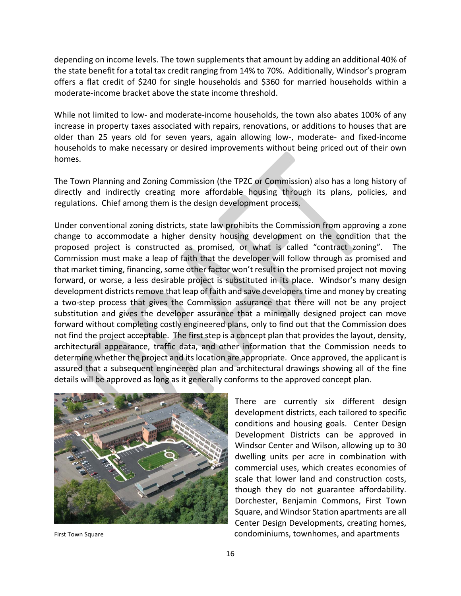depending on income levels. The town supplements that amount by adding an additional 40% of the state benefit for a total tax credit ranging from 14% to 70%. Additionally, Windsor's program offers a flat credit of \$240 for single households and \$360 for married households within a moderate‐income bracket above the state income threshold.

While not limited to low- and moderate-income households, the town also abates 100% of any increase in property taxes associated with repairs, renovations, or additions to houses that are older than 25 years old for seven years, again allowing low‐, moderate‐ and fixed‐income households to make necessary or desired improvements without being priced out of their own homes.

The Town Planning and Zoning Commission (the TPZC or Commission) also has a long history of directly and indirectly creating more affordable housing through its plans, policies, and regulations. Chief among them is the design development process.

Under conventional zoning districts, state law prohibits the Commission from approving a zone change to accommodate a higher density housing development on the condition that the proposed project is constructed as promised, or what is called "contract zoning". The Commission must make a leap of faith that the developer will follow through as promised and that market timing, financing, some other factor won't result in the promised project not moving forward, or worse, a less desirable project is substituted in its place. Windsor's many design development districts remove that leap of faith and save developers time and money by creating a two-step process that gives the Commission assurance that there will not be any project substitution and gives the developer assurance that a minimally designed project can move forward without completing costly engineered plans, only to find out that the Commission does not find the project acceptable. The first step is a concept plan that provides the layout, density, architectural appearance, traffic data, and other information that the Commission needs to determine whether the project and its location are appropriate. Once approved, the applicant is assured that a subsequent engineered plan and architectural drawings showing all of the fine details will be approved as long as it generally conforms to the approved concept plan.



There are currently six different design development districts, each tailored to specific conditions and housing goals. Center Design Development Districts can be approved in Windsor Center and Wilson, allowing up to 30 dwelling units per acre in combination with commercial uses, which creates economies of scale that lower land and construction costs, though they do not guarantee affordability. Dorchester, Benjamin Commons, First Town Square, and Windsor Station apartments are all Center Design Developments, creating homes, First Town Square *Examplement*  **Example 20 and Series Condominiums, townhomes, and apartments**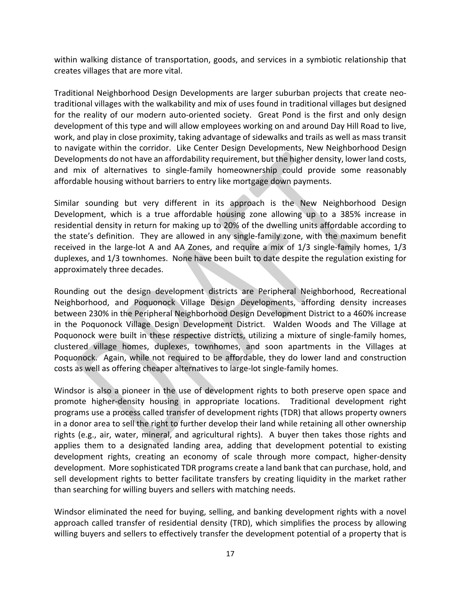within walking distance of transportation, goods, and services in a symbiotic relationship that creates villages that are more vital.

Traditional Neighborhood Design Developments are larger suburban projects that create neo‐ traditional villages with the walkability and mix of uses found in traditional villages but designed for the reality of our modern auto-oriented society. Great Pond is the first and only design development of this type and will allow employees working on and around Day Hill Road to live, work, and play in close proximity, taking advantage of sidewalks and trails as well as mass transit to navigate within the corridor. Like Center Design Developments, New Neighborhood Design Developments do not have an affordability requirement, but the higher density, lower land costs, and mix of alternatives to single-family homeownership could provide some reasonably affordable housing without barriers to entry like mortgage down payments.

Similar sounding but very different in its approach is the New Neighborhood Design Development, which is a true affordable housing zone allowing up to a 385% increase in residential density in return for making up to 20% of the dwelling units affordable according to the state's definition. They are allowed in any single‐family zone, with the maximum benefit received in the large-lot A and AA Zones, and require a mix of 1/3 single-family homes, 1/3 duplexes, and 1/3 townhomes. None have been built to date despite the regulation existing for approximately three decades.

Rounding out the design development districts are Peripheral Neighborhood, Recreational Neighborhood, and Poquonock Village Design Developments, affording density increases between 230% in the Peripheral Neighborhood Design Development District to a 460% increase in the Poquonock Village Design Development District. Walden Woods and The Village at Poquonock were built in these respective districts, utilizing a mixture of single-family homes, clustered village homes, duplexes, townhomes, and soon apartments in the Villages at Poquonock. Again, while not required to be affordable, they do lower land and construction costs as well as offering cheaper alternatives to large‐lot single‐family homes.

Windsor is also a pioneer in the use of development rights to both preserve open space and promote higher-density housing in appropriate locations. Traditional development right programs use a process called transfer of development rights (TDR) that allows property owners in a donor area to sell the right to further develop their land while retaining all other ownership rights (e.g., air, water, mineral, and agricultural rights). A buyer then takes those rights and applies them to a designated landing area, adding that development potential to existing development rights, creating an economy of scale through more compact, higher-density development. More sophisticated TDR programs create a land bank that can purchase, hold, and sell development rights to better facilitate transfers by creating liquidity in the market rather than searching for willing buyers and sellers with matching needs.

Windsor eliminated the need for buying, selling, and banking development rights with a novel approach called transfer of residential density (TRD), which simplifies the process by allowing willing buyers and sellers to effectively transfer the development potential of a property that is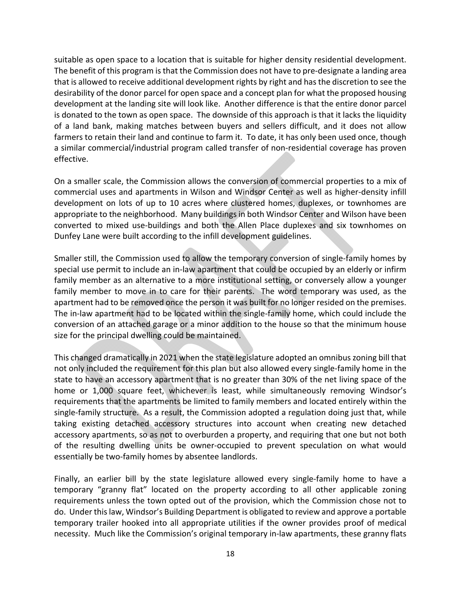suitable as open space to a location that is suitable for higher density residential development. The benefit of this program is that the Commission does not have to pre‐designate a landing area that is allowed to receive additional development rights by right and has the discretion to see the desirability of the donor parcel for open space and a concept plan for what the proposed housing development at the landing site will look like. Another difference is that the entire donor parcel is donated to the town as open space. The downside of this approach is that it lacks the liquidity of a land bank, making matches between buyers and sellers difficult, and it does not allow farmers to retain their land and continue to farm it. To date, it has only been used once, though a similar commercial/industrial program called transfer of non‐residential coverage has proven effective.

On a smaller scale, the Commission allows the conversion of commercial properties to a mix of commercial uses and apartments in Wilson and Windsor Center as well as higher‐density infill development on lots of up to 10 acres where clustered homes, duplexes, or townhomes are appropriate to the neighborhood. Many buildings in both Windsor Center and Wilson have been converted to mixed use‐buildings and both the Allen Place duplexes and six townhomes on Dunfey Lane were built according to the infill development guidelines.

Smaller still, the Commission used to allow the temporary conversion of single‐family homes by special use permit to include an in-law apartment that could be occupied by an elderly or infirm family member as an alternative to a more institutional setting, or conversely allow a younger family member to move in to care for their parents. The word temporary was used, as the apartment had to be removed once the person it was built for no longer resided on the premises. The in-law apartment had to be located within the single-family home, which could include the conversion of an attached garage or a minor addition to the house so that the minimum house size for the principal dwelling could be maintained.

This changed dramatically in 2021 when the state legislature adopted an omnibus zoning bill that not only included the requirement for this plan but also allowed every single‐family home in the state to have an accessory apartment that is no greater than 30% of the net living space of the home or 1,000 square feet, whichever is least, while simultaneously removing Windsor's requirements that the apartments be limited to family members and located entirely within the single-family structure. As a result, the Commission adopted a regulation doing just that, while taking existing detached accessory structures into account when creating new detached accessory apartments, so as not to overburden a property, and requiring that one but not both of the resulting dwelling units be owner‐occupied to prevent speculation on what would essentially be two-family homes by absentee landlords.

Finally, an earlier bill by the state legislature allowed every single-family home to have a temporary "granny flat" located on the property according to all other applicable zoning requirements unless the town opted out of the provision, which the Commission chose not to do. Under this law, Windsor's Building Department is obligated to review and approve a portable temporary trailer hooked into all appropriate utilities if the owner provides proof of medical necessity. Much like the Commission's original temporary in‐law apartments, these granny flats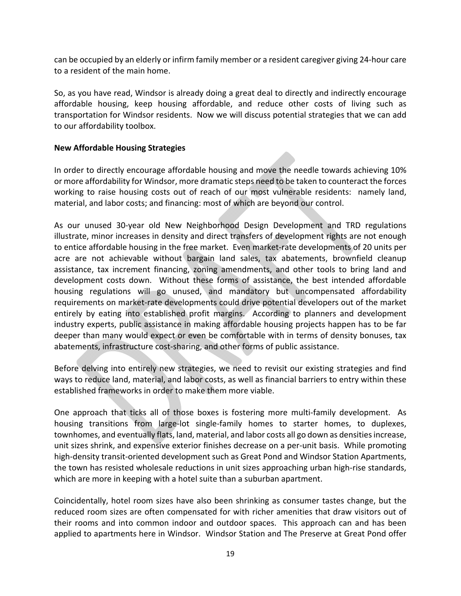can be occupied by an elderly or infirm family member or a resident caregiver giving 24‐hour care to a resident of the main home.

So, as you have read, Windsor is already doing a great deal to directly and indirectly encourage affordable housing, keep housing affordable, and reduce other costs of living such as transportation for Windsor residents. Now we will discuss potential strategies that we can add to our affordability toolbox.

### **New Affordable Housing Strategies**

In order to directly encourage affordable housing and move the needle towards achieving 10% or more affordability for Windsor, more dramatic steps need to be taken to counteract the forces working to raise housing costs out of reach of our most vulnerable residents: namely land, material, and labor costs; and financing: most of which are beyond our control.

As our unused 30‐year old New Neighborhood Design Development and TRD regulations illustrate, minor increases in density and direct transfers of development rights are not enough to entice affordable housing in the free market. Even market‐rate developments of 20 units per acre are not achievable without bargain land sales, tax abatements, brownfield cleanup assistance, tax increment financing, zoning amendments, and other tools to bring land and development costs down. Without these forms of assistance, the best intended affordable housing regulations will go unused, and mandatory but uncompensated affordability requirements on market‐rate developments could drive potential developers out of the market entirely by eating into established profit margins. According to planners and development industry experts, public assistance in making affordable housing projects happen has to be far deeper than many would expect or even be comfortable with in terms of density bonuses, tax abatements, infrastructure cost‐sharing, and other forms of public assistance.

Before delving into entirely new strategies, we need to revisit our existing strategies and find ways to reduce land, material, and labor costs, as well as financial barriers to entry within these established frameworks in order to make them more viable.

One approach that ticks all of those boxes is fostering more multi-family development. As housing transitions from large-lot single-family homes to starter homes, to duplexes, townhomes, and eventually flats, land, material, and labor costs all go down as densities increase, unit sizes shrink, and expensive exterior finishes decrease on a per‐unit basis. While promoting high-density transit-oriented development such as Great Pond and Windsor Station Apartments, the town has resisted wholesale reductions in unit sizes approaching urban high‐rise standards, which are more in keeping with a hotel suite than a suburban apartment.

Coincidentally, hotel room sizes have also been shrinking as consumer tastes change, but the reduced room sizes are often compensated for with richer amenities that draw visitors out of their rooms and into common indoor and outdoor spaces. This approach can and has been applied to apartments here in Windsor. Windsor Station and The Preserve at Great Pond offer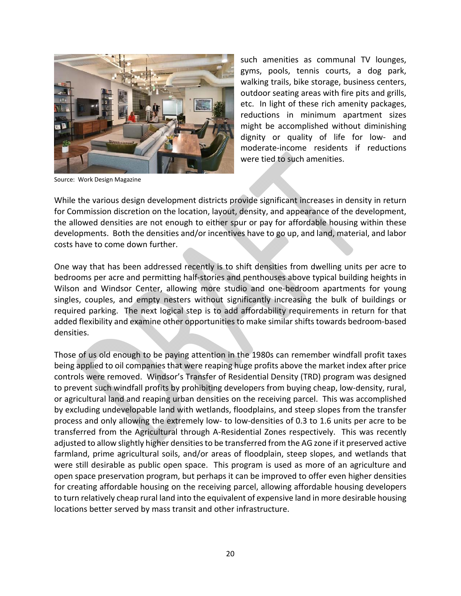

Source: Work Design Magazine

such amenities as communal TV lounges, gyms, pools, tennis courts, a dog park, walking trails, bike storage, business centers, outdoor seating areas with fire pits and grills, etc. In light of these rich amenity packages, reductions in minimum apartment sizes might be accomplished without diminishing dignity or quality of life for low‐ and moderate‐income residents if reductions were tied to such amenities.

While the various design development districts provide significant increases in density in return for Commission discretion on the location, layout, density, and appearance of the development, the allowed densities are not enough to either spur or pay for affordable housing within these developments. Both the densities and/or incentives have to go up, and land, material, and labor costs have to come down further.

One way that has been addressed recently is to shift densities from dwelling units per acre to bedrooms per acre and permitting half‐stories and penthouses above typical building heights in Wilson and Windsor Center, allowing more studio and one-bedroom apartments for young singles, couples, and empty nesters without significantly increasing the bulk of buildings or required parking. The next logical step is to add affordability requirements in return for that added flexibility and examine other opportunities to make similar shifts towards bedroom‐based densities.

Those of us old enough to be paying attention in the 1980s can remember windfall profit taxes being applied to oil companies that were reaping huge profits above the market index after price controls were removed. Windsor's Transfer of Residential Density (TRD) program was designed to prevent such windfall profits by prohibiting developers from buying cheap, low‐density, rural, or agricultural land and reaping urban densities on the receiving parcel. This was accomplished by excluding undevelopable land with wetlands, floodplains, and steep slopes from the transfer process and only allowing the extremely low‐ to low‐densities of 0.3 to 1.6 units per acre to be transferred from the Agricultural through A‐Residential Zones respectively. This was recently adjusted to allow slightly higher densities to be transferred from the AG zone if it preserved active farmland, prime agricultural soils, and/or areas of floodplain, steep slopes, and wetlands that were still desirable as public open space. This program is used as more of an agriculture and open space preservation program, but perhaps it can be improved to offer even higher densities for creating affordable housing on the receiving parcel, allowing affordable housing developers to turn relatively cheap rural land into the equivalent of expensive land in more desirable housing locations better served by mass transit and other infrastructure.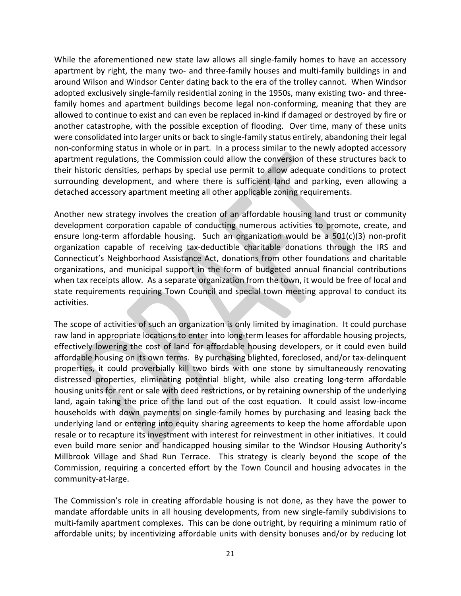While the aforementioned new state law allows all single-family homes to have an accessory apartment by right, the many two- and three-family houses and multi-family buildings in and around Wilson and Windsor Center dating back to the era of the trolley cannot. When Windsor adopted exclusively single‐family residential zoning in the 1950s, many existing two‐ and three‐ family homes and apartment buildings become legal non-conforming, meaning that they are allowed to continue to exist and can even be replaced in‐kind if damaged or destroyed by fire or another catastrophe, with the possible exception of flooding. Over time, many of these units were consolidated into larger units or back to single-family status entirely, abandoning their legal non-conforming status in whole or in part. In a process similar to the newly adopted accessory apartment regulations, the Commission could allow the conversion of these structures back to their historic densities, perhaps by special use permit to allow adequate conditions to protect surrounding development, and where there is sufficient land and parking, even allowing a detached accessory apartment meeting all other applicable zoning requirements.

Another new strategy involves the creation of an affordable housing land trust or community development corporation capable of conducting numerous activities to promote, create, and ensure long-term affordable housing. Such an organization would be a  $501(c)(3)$  non-profit organization capable of receiving tax‐deductible charitable donations through the IRS and Connecticut's Neighborhood Assistance Act, donations from other foundations and charitable organizations, and municipal support in the form of budgeted annual financial contributions when tax receipts allow. As a separate organization from the town, it would be free of local and state requirements requiring Town Council and special town meeting approval to conduct its activities.

The scope of activities of such an organization is only limited by imagination. It could purchase raw land in appropriate locations to enter into long-term leases for affordable housing projects, effectively lowering the cost of land for affordable housing developers, or it could even build affordable housing on its own terms. By purchasing blighted, foreclosed, and/or tax‐delinquent properties, it could proverbially kill two birds with one stone by simultaneously renovating distressed properties, eliminating potential blight, while also creating long‐term affordable housing units for rent or sale with deed restrictions, or by retaining ownership of the underlying land, again taking the price of the land out of the cost equation. It could assist low-income households with down payments on single-family homes by purchasing and leasing back the underlying land or entering into equity sharing agreements to keep the home affordable upon resale or to recapture its investment with interest for reinvestment in other initiatives. It could even build more senior and handicapped housing similar to the Windsor Housing Authority's Millbrook Village and Shad Run Terrace. This strategy is clearly beyond the scope of the Commission, requiring a concerted effort by the Town Council and housing advocates in the community‐at‐large.

The Commission's role in creating affordable housing is not done, as they have the power to mandate affordable units in all housing developments, from new single‐family subdivisions to multi-family apartment complexes. This can be done outright, by requiring a minimum ratio of affordable units; by incentivizing affordable units with density bonuses and/or by reducing lot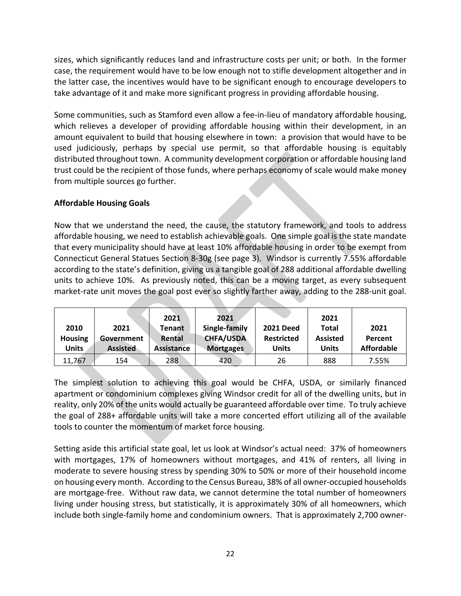sizes, which significantly reduces land and infrastructure costs per unit; or both. In the former case, the requirement would have to be low enough not to stifle development altogether and in the latter case, the incentives would have to be significant enough to encourage developers to take advantage of it and make more significant progress in providing affordable housing.

Some communities, such as Stamford even allow a fee‐in‐lieu of mandatory affordable housing, which relieves a developer of providing affordable housing within their development, in an amount equivalent to build that housing elsewhere in town: a provision that would have to be used judiciously, perhaps by special use permit, so that affordable housing is equitably distributed throughout town. A community development corporation or affordable housing land trust could be the recipient of those funds, where perhaps economy of scale would make money from multiple sources go further.

## **Affordable Housing Goals**

Now that we understand the need, the cause, the statutory framework, and tools to address affordable housing, we need to establish achievable goals. One simple goal is the state mandate that every municipality should have at least 10% affordable housing in order to be exempt from Connecticut General Statues Section 8‐30g (see page 3). Windsor is currently 7.55% affordable according to the state's definition, giving us a tangible goal of 288 additional affordable dwelling units to achieve 10%. As previously noted, this can be a moving target, as every subsequent market-rate unit moves the goal post ever so slightly farther away, adding to the 288-unit goal.

| 2010<br><b>Housing</b><br>Units | 2021<br>Government<br><b>Assisted</b> | 2021<br>Tenant<br>Rental<br><b>Assistance</b> | 2021<br>Single-family<br><b>CHFA/USDA</b><br><b>Mortgages</b> | <b>2021 Deed</b><br><b>Restricted</b><br><b>Units</b> | 2021<br><b>Total</b><br><b>Assisted</b><br><b>Units</b> | 2021<br>Percent<br><b>Affordable</b> |
|---------------------------------|---------------------------------------|-----------------------------------------------|---------------------------------------------------------------|-------------------------------------------------------|---------------------------------------------------------|--------------------------------------|
| 11,767                          | 154                                   | 288                                           | 420                                                           | 26                                                    | 888                                                     | 7.55%                                |

The simplest solution to achieving this goal would be CHFA, USDA, or similarly financed apartment or condominium complexes giving Windsor credit for all of the dwelling units, but in reality, only 20% of the units would actually be guaranteed affordable over time. To truly achieve the goal of 288+ affordable units will take a more concerted effort utilizing all of the available tools to counter the momentum of market force housing.

Setting aside this artificial state goal, let us look at Windsor's actual need: 37% of homeowners with mortgages, 17% of homeowners without mortgages, and 41% of renters, all living in moderate to severe housing stress by spending 30% to 50% or more of their household income on housing every month. According to the Census Bureau, 38% of all owner‐occupied households are mortgage‐free. Without raw data, we cannot determine the total number of homeowners living under housing stress, but statistically, it is approximately 30% of all homeowners, which include both single‐family home and condominium owners. That is approximately 2,700 owner‐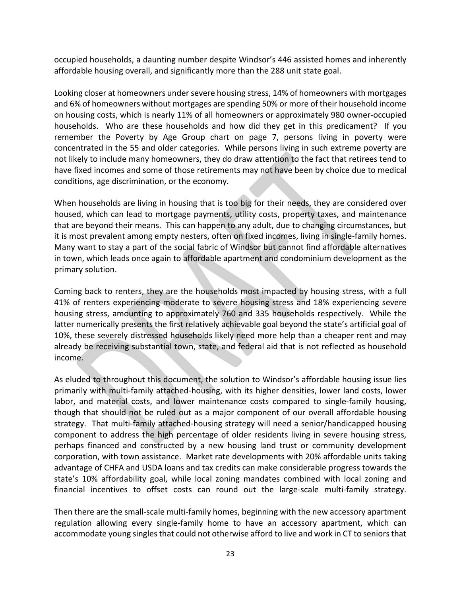occupied households, a daunting number despite Windsor's 446 assisted homes and inherently affordable housing overall, and significantly more than the 288 unit state goal.

Looking closer at homeowners under severe housing stress, 14% of homeowners with mortgages and 6% of homeowners without mortgages are spending 50% or more of their household income on housing costs, which is nearly 11% of all homeowners or approximately 980 owner‐occupied households. Who are these households and how did they get in this predicament? If you remember the Poverty by Age Group chart on page 7, persons living in poverty were concentrated in the 55 and older categories. While persons living in such extreme poverty are not likely to include many homeowners, they do draw attention to the fact that retirees tend to have fixed incomes and some of those retirements may not have been by choice due to medical conditions, age discrimination, or the economy.

When households are living in housing that is too big for their needs, they are considered over housed, which can lead to mortgage payments, utility costs, property taxes, and maintenance that are beyond their means. This can happen to any adult, due to changing circumstances, but it is most prevalent among empty nesters, often on fixed incomes, living in single‐family homes. Many want to stay a part of the social fabric of Windsor but cannot find affordable alternatives in town, which leads once again to affordable apartment and condominium development as the primary solution.

Coming back to renters, they are the households most impacted by housing stress, with a full 41% of renters experiencing moderate to severe housing stress and 18% experiencing severe housing stress, amounting to approximately 760 and 335 households respectively. While the latter numerically presents the first relatively achievable goal beyond the state's artificial goal of 10%, these severely distressed households likely need more help than a cheaper rent and may already be receiving substantial town, state, and federal aid that is not reflected as household income.

As eluded to throughout this document, the solution to Windsor's affordable housing issue lies primarily with multi‐family attached‐housing, with its higher densities, lower land costs, lower labor, and material costs, and lower maintenance costs compared to single-family housing, though that should not be ruled out as a major component of our overall affordable housing strategy. That multi‐family attached‐housing strategy will need a senior/handicapped housing component to address the high percentage of older residents living in severe housing stress, perhaps financed and constructed by a new housing land trust or community development corporation, with town assistance. Market rate developments with 20% affordable units taking advantage of CHFA and USDA loans and tax credits can make considerable progress towards the state's 10% affordability goal, while local zoning mandates combined with local zoning and financial incentives to offset costs can round out the large-scale multi-family strategy.

Then there are the small‐scale multi‐family homes, beginning with the new accessory apartment regulation allowing every single-family home to have an accessory apartment, which can accommodate young singles that could not otherwise afford to live and work in CT to seniors that